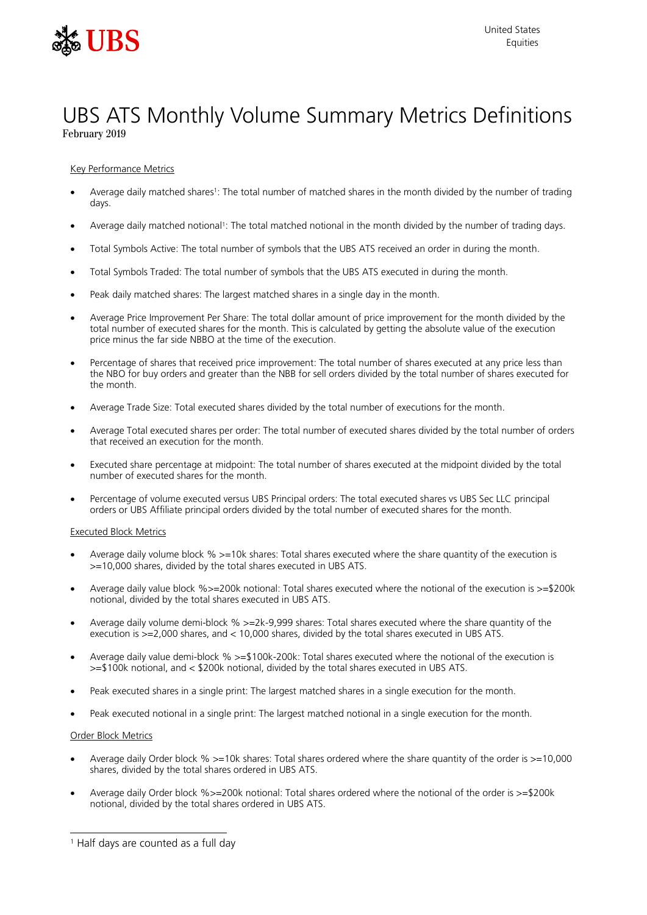

# UBS ATS Monthly Volume Summary Metrics Definitions February 2019

Key Performance Metrics

- Average daily matched shares<sup>1</sup>: The total number of matched shares in the month divided by the number of trading days.
- Average daily matched notional<sup>1</sup>: The total matched notional in the month divided by the number of trading days.
- Total Symbols Active: The total number of symbols that the UBS ATS received an order in during the month.
- Total Symbols Traded: The total number of symbols that the UBS ATS executed in during the month.
- Peak daily matched shares: The largest matched shares in a single day in the month.
- Average Price Improvement Per Share: The total dollar amount of price improvement for the month divided by the total number of executed shares for the month. This is calculated by getting the absolute value of the execution price minus the far side NBBO at the time of the execution.
- Percentage of shares that received price improvement: The total number of shares executed at any price less than the NBO for buy orders and greater than the NBB for sell orders divided by the total number of shares executed for the month.
- Average Trade Size: Total executed shares divided by the total number of executions for the month.
- Average Total executed shares per order: The total number of executed shares divided by the total number of orders that received an execution for the month.
- Executed share percentage at midpoint: The total number of shares executed at the midpoint divided by the total number of executed shares for the month.
- Percentage of volume executed versus UBS Principal orders: The total executed shares vs UBS Sec LLC principal orders or UBS Affiliate principal orders divided by the total number of executed shares for the month.

# Executed Block Metrics

- Average daily volume block % >=10k shares: Total shares executed where the share quantity of the execution is >=10,000 shares, divided by the total shares executed in UBS ATS.
- Average daily value block %>=200k notional: Total shares executed where the notional of the execution is >=\$200k notional, divided by the total shares executed in UBS ATS.
- Average daily volume demi-block % >=2k-9,999 shares: Total shares executed where the share quantity of the execution is >=2,000 shares, and < 10,000 shares, divided by the total shares executed in UBS ATS.
- Average daily value demi-block % >=\$100k-200k: Total shares executed where the notional of the execution is >=\$100k notional, and < \$200k notional, divided by the total shares executed in UBS ATS.
- Peak executed shares in a single print: The largest matched shares in a single execution for the month.
- Peak executed notional in a single print: The largest matched notional in a single execution for the month.

# Order Block Metrics

- Average daily Order block % >=10k shares: Total shares ordered where the share quantity of the order is >=10,000 shares, divided by the total shares ordered in UBS ATS.
- Average daily Order block %>=200k notional: Total shares ordered where the notional of the order is >=\$200k notional, divided by the total shares ordered in UBS ATS.

<sup>1</sup> Half days are counted as a full day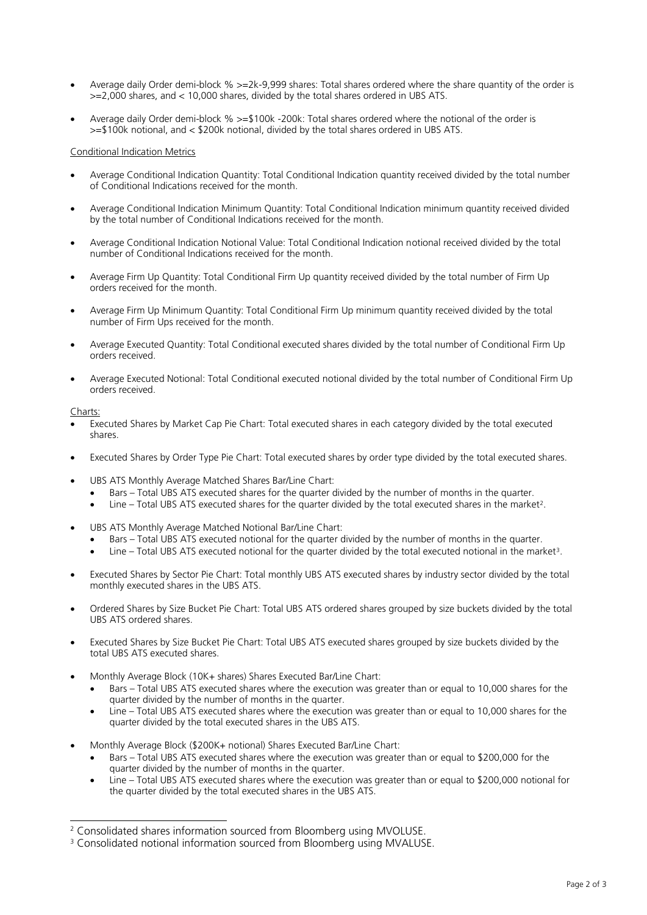- Average daily Order demi-block % >=2k-9,999 shares: Total shares ordered where the share quantity of the order is >=2,000 shares, and < 10,000 shares, divided by the total shares ordered in UBS ATS.
- Average daily Order demi-block % >=\$100k -200k: Total shares ordered where the notional of the order is >=\$100k notional, and < \$200k notional, divided by the total shares ordered in UBS ATS.

# Conditional Indication Metrics

- Average Conditional Indication Quantity: Total Conditional Indication quantity received divided by the total number of Conditional Indications received for the month.
- Average Conditional Indication Minimum Quantity: Total Conditional Indication minimum quantity received divided by the total number of Conditional Indications received for the month.
- Average Conditional Indication Notional Value: Total Conditional Indication notional received divided by the total number of Conditional Indications received for the month.
- Average Firm Up Quantity: Total Conditional Firm Up quantity received divided by the total number of Firm Up orders received for the month.
- Average Firm Up Minimum Quantity: Total Conditional Firm Up minimum quantity received divided by the total number of Firm Ups received for the month.
- Average Executed Quantity: Total Conditional executed shares divided by the total number of Conditional Firm Up orders received.
- Average Executed Notional: Total Conditional executed notional divided by the total number of Conditional Firm Up orders received.

# Charts:

- Executed Shares by Market Cap Pie Chart: Total executed shares in each category divided by the total executed shares.
- Executed Shares by Order Type Pie Chart: Total executed shares by order type divided by the total executed shares.
- UBS ATS Monthly Average Matched Shares Bar/Line Chart:
	- Bars Total UBS ATS executed shares for the quarter divided by the number of months in the quarter.
	- Line Total UBS ATS executed shares for the quarter divided by the total executed shares in the market<sup>2</sup>.
- UBS ATS Monthly Average Matched Notional Bar/Line Chart:
	- Bars Total UBS ATS executed notional for the quarter divided by the number of months in the quarter.
	- $\bullet$  Line Total UBS ATS executed notional for the quarter divided by the total executed notional in the market<sup>3</sup>.
- Executed Shares by Sector Pie Chart: Total monthly UBS ATS executed shares by industry sector divided by the total monthly executed shares in the UBS ATS.
- Ordered Shares by Size Bucket Pie Chart: Total UBS ATS ordered shares grouped by size buckets divided by the total UBS ATS ordered shares.
- Executed Shares by Size Bucket Pie Chart: Total UBS ATS executed shares grouped by size buckets divided by the total UBS ATS executed shares.
- Monthly Average Block (10K+ shares) Shares Executed Bar/Line Chart:
	- Bars Total UBS ATS executed shares where the execution was greater than or equal to 10,000 shares for the quarter divided by the number of months in the quarter.
	- Line Total UBS ATS executed shares where the execution was greater than or equal to 10,000 shares for the quarter divided by the total executed shares in the UBS ATS.
- Monthly Average Block (\$200K+ notional) Shares Executed Bar/Line Chart:
	- Bars Total UBS ATS executed shares where the execution was greater than or equal to \$200,000 for the quarter divided by the number of months in the quarter.
	- Line Total UBS ATS executed shares where the execution was greater than or equal to \$200,000 notional for the quarter divided by the total executed shares in the UBS ATS.

<sup>&</sup>lt;sup>2</sup> Consolidated shares information sourced from Bloomberg using MVOLUSE.

<sup>&</sup>lt;sup>3</sup> Consolidated notional information sourced from Bloomberg using MVALUSE.